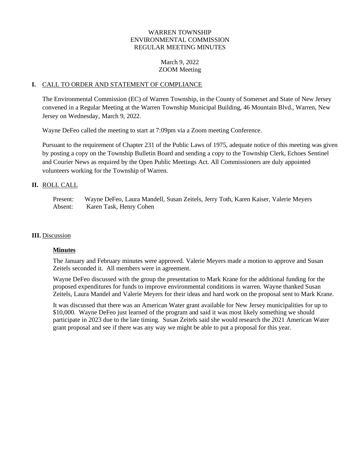# WARREN TOWNSHIP ENVIRONMENTAL COMMISSION REGULAR MEETING MINUTES

## March 9, 2022 ZOOM Meeting

#### **I.** CALL TO ORDER AND STATEMENT OF COMPLIANCE

The Environmental Commission (EC) of Warren Township, in the County of Somerset and State of New Jersey convened in a Regular Meeting at the Warren Township Municipal Building, 46 Mountain Blvd., Warren, New Jersey on Wednesday, March 9, 2022.

Wayne DeFeo called the meeting to start at 7:09pm via a Zoom meeting Conference.

Pursuant to the requirement of Chapter 231 of the Public Laws of 1975, adequate notice of this meeting was given by posting a copy on the Township Bulletin Board and sending a copy to the Township Clerk, Echoes Sentinel and Courier News as required by the Open Public Meetings Act. All Commissioners are duly appointed volunteers working for the Township of Warren.

#### **II.** ROLL CALL

Present: Wayne DeFeo, Laura Mandell, Susan Zeitels, Jerry Toth, Karen Kaiser, Valerie Meyers Absent: Karen Task, Henry Cohen

#### **III.** Discussion

### **Minutes**

The January and February minutes were approved. Valerie Meyers made a motion to approve and Susan Zeitels seconded it. All members were in agreement.

Wayne DeFeo discussed with the group the presentation to Mark Krane for the additional funding for the proposed expenditures for funds to improve environmental conditions in warren. Wayne thanked Susan Zeitels, Laura Mandel and Valerie Meyers for their ideas and hard work on the proposal sent to Mark Krane.

It was discussed that there was an American Water grant available for New Jersey municipalities for up to \$10,000. Wayne DeFeo just learned of the program and said it was most likely something we should participate in 2023 due to the late timing. Susan Zeitels said she would research the 2021 American Water grant proposal and see if there was any way we might be able to put a proposal for this year.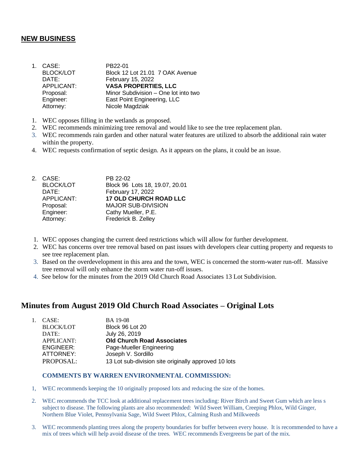# **NEW BUSINESS**

- 1. CASE: PB22-01 BLOCK/LOT Block 12 Lot 21.01 7 OAK Avenue DATE: February 15, 2022 APPLICANT: **VASA PROPERTIES, LLC** Proposal: Minor Subdivision – One lot into two Engineer: East Point Engineering, LLC Attorney: Nicole Magdziak
- 1. WEC opposes filling in the wetlands as proposed.
- 2. WEC recommends minimizing tree removal and would like to see the tree replacement plan.
- 3. WEC recommends rain garden and other natural water features are utilized to absorb the additional rain water within the property.
- 4. WEC requests confirmation of septic design. As it appears on the plans, it could be an issue.

|  | 2. CASE:         | PB 22-02                       |
|--|------------------|--------------------------------|
|  | <b>BLOCK/LOT</b> | Block 96 Lots 18, 19.07, 20.01 |
|  | DATE:            | February 17, 2022              |
|  | APPLICANT:       | <b>17 OLD CHURCH ROAD LLC</b>  |
|  | Proposal:        | <b>MAJOR SUB-DIVISION</b>      |
|  | Engineer:        | Cathy Mueller, P.E.            |
|  | Attorney:        | Frederick B. Zelley            |
|  |                  |                                |

- 1. WEC opposes changing the current deed restrictions which will allow for further development.
- 2. WEC has concerns over tree removal based on past issues with developers clear cutting property and requests to see tree replacement plan.
- 3. Based on the overdevelopment in this area and the town, WEC is concerned the storm-water run-off. Massive tree removal will only enhance the storm water run-off issues.
- 4. See below for the minutes from the 2019 Old Church Road Associates 13 Lot Subdivision.

# **Minutes from August 2019 Old Church Road Associates – Original Lots**

| $1_{-}$ | CASE:             | <b>BA</b> 19-08                                      |
|---------|-------------------|------------------------------------------------------|
|         | <b>BLOCK/LOT</b>  | Block 96 Lot 20                                      |
|         | DATE:             | July 26, 2019                                        |
|         | <b>APPLICANT:</b> | <b>Old Church Road Associates</b>                    |
|         | ENGINEER:         | Page-Mueller Engineering                             |
|         | ATTORNEY:         | Joseph V. Sordillo                                   |
|         | PROPOSAL:         | 13 Lot sub-division site originally approved 10 lots |

#### **COMMENTS BY WARREN ENVIRONMENTAL COMMISSION:**

- 1, WEC recommends keeping the 10 originally proposed lots and reducing the size of the homes.
- 2. WEC recommends the TCC look at additional replacement trees including: River Birch and Sweet Gum which are less s subject to disease. The following plants are also recommended: Wild Sweet William, Creeping Phlox, Wild Ginger, Northern Blue Violet, Pennsylvania Sage, Wild Sweet Phlox, Calming Rush and Milkweeds
- 3. WEC recommends planting trees along the property boundaries for buffer between every house. It is recommended to have a mix of trees which will help avoid disease of the trees. WEC recommends Evergreens be part of the mix.